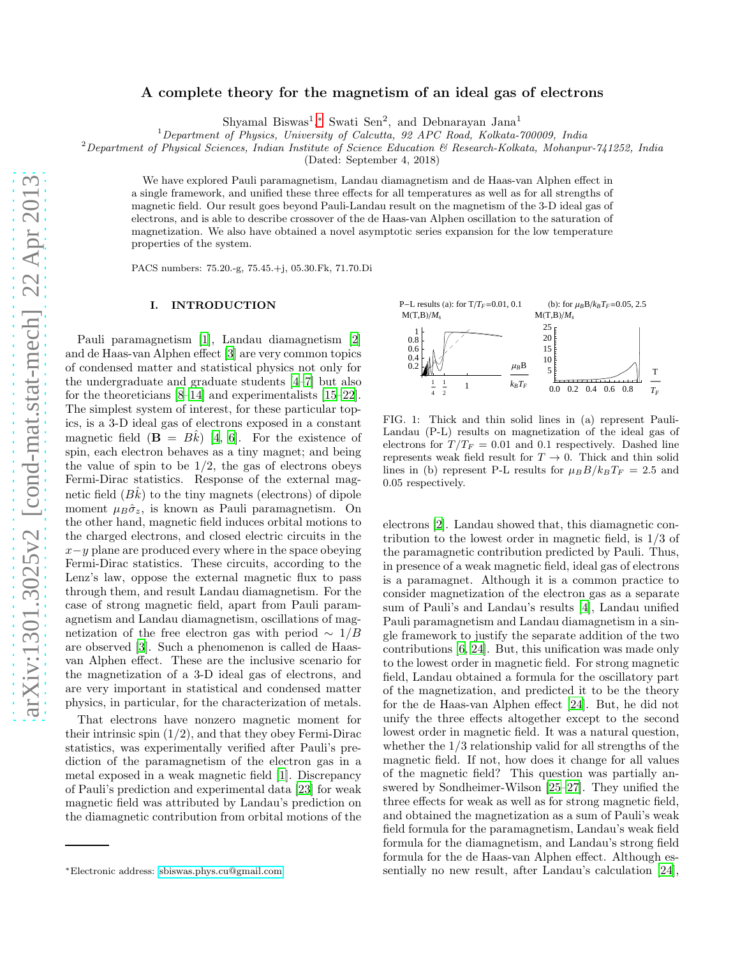# arXiv:1301.3025v2 [cond-mat.stat-mech] 22 Apr 2013 [arXiv:1301.3025v2 \[cond-mat.stat-mech\] 22 Apr 2013](http://arxiv.org/abs/1301.3025v2)

# A complete theory for the magnetism of an ideal gas of electrons

Shyamal Biswas<sup>1</sup>,\* Swati Sen<sup>2</sup>, and Debnarayan Jana<sup>1</sup>

<sup>1</sup>Department of Physics, University of Calcutta, 92 APC Road, Kolkata-700009, India

 $2$ Department of Physical Sciences, Indian Institute of Science Education & Research-Kolkata, Mohanpur-741252, India

(Dated: September 4, 2018)

We have explored Pauli paramagnetism, Landau diamagnetism and de Haas-van Alphen effect in a single framework, and unified these three effects for all temperatures as well as for all strengths of magnetic field. Our result goes beyond Pauli-Landau result on the magnetism of the 3-D ideal gas of electrons, and is able to describe crossover of the de Haas-van Alphen oscillation to the saturation of magnetization. We also have obtained a novel asymptotic series expansion for the low temperature properties of the system.

PACS numbers: 75.20.-g, 75.45.+j, 05.30.Fk, 71.70.Di

### I. INTRODUCTION

Pauli paramagnetism [\[1](#page-7-0)], Landau diamagnetism [\[2](#page-7-1)] and de Haas-van Alphen effect [\[3](#page-7-2)] are very common topics of condensed matter and statistical physics not only for the undergraduate and graduate students [\[4](#page-7-3)[–7\]](#page-7-4) but also for the theoreticians [\[8](#page-7-5)[–14](#page-7-6)] and experimentalists [\[15](#page-7-7)[–22\]](#page-7-8). The simplest system of interest, for these particular topics, is a 3-D ideal gas of electrons exposed in a constant magnetic field  $(\mathbf{B} = B\hat{k})$  [\[4,](#page-7-3) [6](#page-7-9)]. For the existence of spin, each electron behaves as a tiny magnet; and being the value of spin to be  $1/2$ , the gas of electrons obeys Fermi-Dirac statistics. Response of the external magnetic field  $(Bk)$  to the tiny magnets (electrons) of dipole moment  $\mu_B \hat{\sigma}_z$ , is known as Pauli paramagnetism. On the other hand, magnetic field induces orbital motions to the charged electrons, and closed electric circuits in the  $x-y$  plane are produced every where in the space obeying Fermi-Dirac statistics. These circuits, according to the Lenz's law, oppose the external magnetic flux to pass through them, and result Landau diamagnetism. For the case of strong magnetic field, apart from Pauli paramagnetism and Landau diamagnetism, oscillations of magnetization of the free electron gas with period  $\sim 1/B$ are observed [\[3\]](#page-7-2). Such a phenomenon is called de Haasvan Alphen effect. These are the inclusive scenario for the magnetization of a 3-D ideal gas of electrons, and are very important in statistical and condensed matter physics, in particular, for the characterization of metals.

That electrons have nonzero magnetic moment for their intrinsic spin  $(1/2)$ , and that they obey Fermi-Dirac statistics, was experimentally verified after Pauli's prediction of the paramagnetism of the electron gas in a metal exposed in a weak magnetic field [\[1](#page-7-0)]. Discrepancy of Pauli's prediction and experimental data [\[23\]](#page-7-10) for weak magnetic field was attributed by Landau's prediction on the diamagnetic contribution from orbital motions of the



FIG. 1: Thick and thin solid lines in (a) represent Pauli-Landau (P-L) results on magnetization of the ideal gas of electrons for  $T/T_F = 0.01$  and 0.1 respectively. Dashed line represents weak field result for  $T \to 0$ . Thick and thin solid lines in (b) represent P-L results for  $\mu_B B/k_B T_F = 2.5$  and 0.05 respectively.

electrons [\[2\]](#page-7-1). Landau showed that, this diamagnetic contribution to the lowest order in magnetic field, is 1/3 of the paramagnetic contribution predicted by Pauli. Thus, in presence of a weak magnetic field, ideal gas of electrons is a paramagnet. Although it is a common practice to consider magnetization of the electron gas as a separate sum of Pauli's and Landau's results [\[4\]](#page-7-3), Landau unified Pauli paramagnetism and Landau diamagnetism in a single framework to justify the separate addition of the two contributions [\[6,](#page-7-9) [24](#page-7-11)]. But, this unification was made only to the lowest order in magnetic field. For strong magnetic field, Landau obtained a formula for the oscillatory part of the magnetization, and predicted it to be the theory for the de Haas-van Alphen effect [\[24](#page-7-11)]. But, he did not unify the three effects altogether except to the second lowest order in magnetic field. It was a natural question, whether the 1/3 relationship valid for all strengths of the magnetic field. If not, how does it change for all values of the magnetic field? This question was partially answered by Sondheimer-Wilson [\[25](#page-7-12)[–27](#page-7-13)]. They unified the three effects for weak as well as for strong magnetic field, and obtained the magnetization as a sum of Pauli's weak field formula for the paramagnetism, Landau's weak field formula for the diamagnetism, and Landau's strong field formula for the de Haas-van Alphen effect. Although essentially no new result, after Landau's calculation [\[24\]](#page-7-11),

<span id="page-0-0"></span><sup>∗</sup>Electronic address: [sbiswas.phys.cu@gmail.com](mailto:sbiswas.phys.cu@gmail.com)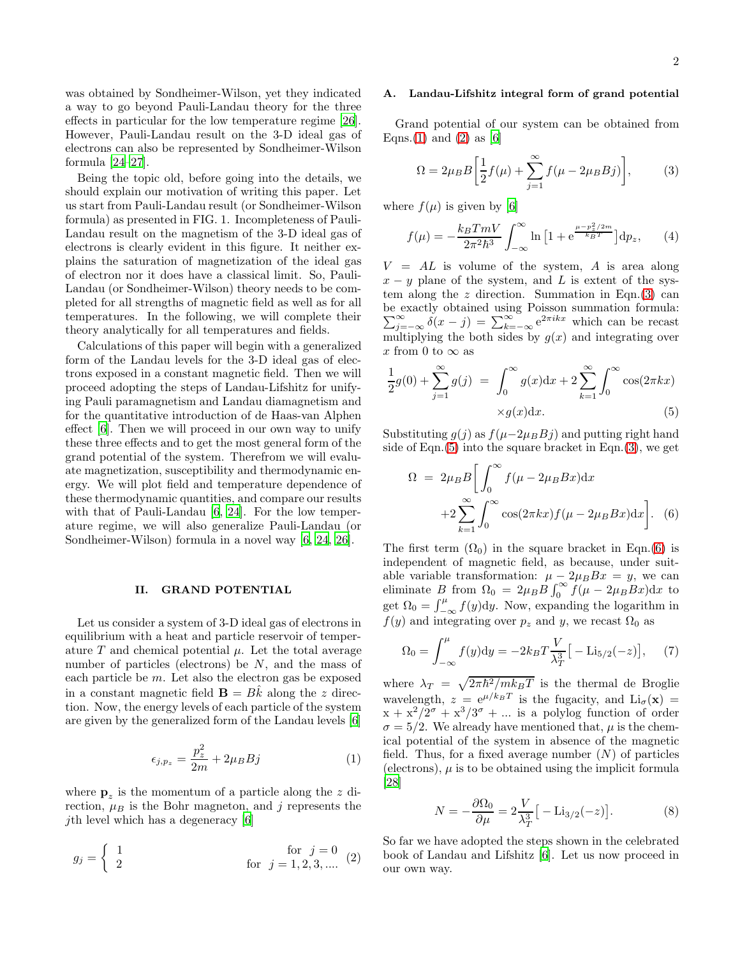was obtained by Sondheimer-Wilson, yet they indicated a way to go beyond Pauli-Landau theory for the three effects in particular for the low temperature regime [\[26\]](#page-7-14). However, Pauli-Landau result on the 3-D ideal gas of electrons can also be represented by Sondheimer-Wilson formula [\[24](#page-7-11)[–27](#page-7-13)].

Being the topic old, before going into the details, we should explain our motivation of writing this paper. Let us start from Pauli-Landau result (or Sondheimer-Wilson formula) as presented in FIG. 1. Incompleteness of Pauli-Landau result on the magnetism of the 3-D ideal gas of electrons is clearly evident in this figure. It neither explains the saturation of magnetization of the ideal gas of electron nor it does have a classical limit. So, Pauli-Landau (or Sondheimer-Wilson) theory needs to be completed for all strengths of magnetic field as well as for all temperatures. In the following, we will complete their theory analytically for all temperatures and fields.

Calculations of this paper will begin with a generalized form of the Landau levels for the 3-D ideal gas of electrons exposed in a constant magnetic field. Then we will proceed adopting the steps of Landau-Lifshitz for unifying Pauli paramagnetism and Landau diamagnetism and for the quantitative introduction of de Haas-van Alphen effect [\[6](#page-7-9)]. Then we will proceed in our own way to unify these three effects and to get the most general form of the grand potential of the system. Therefrom we will evaluate magnetization, susceptibility and thermodynamic energy. We will plot field and temperature dependence of these thermodynamic quantities, and compare our results with that of Pauli-Landau [\[6,](#page-7-9) [24](#page-7-11)]. For the low temperature regime, we will also generalize Pauli-Landau (or Sondheimer-Wilson) formula in a novel way [\[6,](#page-7-9) [24,](#page-7-11) [26\]](#page-7-14).

### II. GRAND POTENTIAL

Let us consider a system of 3-D ideal gas of electrons in equilibrium with a heat and particle reservoir of temperature  $T$  and chemical potential  $\mu$ . Let the total average number of particles (electrons) be  $N$ , and the mass of each particle be m. Let also the electron gas be exposed in a constant magnetic field  $\mathbf{B} = B\hat{k}$  along the z direction. Now, the energy levels of each particle of the system are given by the generalized form of the Landau levels [\[6](#page-7-9)]

<span id="page-1-0"></span>
$$
\epsilon_{j,p_z} = \frac{p_z^2}{2m} + 2\mu_B Bj \tag{1}
$$

where  $\mathbf{p}_z$  is the momentum of a particle along the z direction,  $\mu_B$  is the Bohr magneton, and j represents the jth level which has a degeneracy [\[6\]](#page-7-9)

<span id="page-1-1"></span>
$$
g_j = \begin{cases} 1 & \text{for } j = 0 \\ 2 & \text{for } j = 1, 2, 3, \dots \end{cases}
$$
 (2)

# A. Landau-Lifshitz integral form of grand potential

Grand potential of our system can be obtained from Eqns.[\(1\)](#page-1-0) and [\(2\)](#page-1-1) as  $[6]$ 

<span id="page-1-2"></span>
$$
\Omega = 2\mu_B B \left[ \frac{1}{2} f(\mu) + \sum_{j=1}^{\infty} f(\mu - 2\mu_B B j) \right],\tag{3}
$$

where  $f(\mu)$  is given by [\[6](#page-7-9)]

$$
f(\mu) = -\frac{k_B T m V}{2\pi^2 \hbar^3} \int_{-\infty}^{\infty} \ln\left[1 + e^{\frac{\mu - p_z^2 / 2m}{k_B T}}\right] dp_z, \qquad (4)
$$

 $V = AL$  is volume of the system, A is area along  $x - y$  plane of the system, and L is extent of the system along the  $z$  direction. Summation in Eqn.[\(3\)](#page-1-2) can be exactly obtained using Poisson summation formula:  $\sum_{j=-\infty}^{\infty} \delta(x-j) = \sum_{k=-\infty}^{\infty} e^{2\pi i k x}$  which can be recast multiplying the both sides by  $g(x)$  and integrating over x from 0 to  $\infty$  as

<span id="page-1-3"></span>
$$
\frac{1}{2}g(0) + \sum_{j=1}^{\infty} g(j) = \int_0^{\infty} g(x)dx + 2\sum_{k=1}^{\infty} \int_0^{\infty} \cos(2\pi kx)
$$

$$
\times g(x)dx.
$$
 (5)

Substituting  $q(j)$  as  $f(\mu-2\mu_B B j)$  and putting right hand side of  $Eqn.(5)$  $Eqn.(5)$  into the square bracket in  $Eqn.(3)$  $Eqn.(3)$ , we get

<span id="page-1-4"></span>
$$
\Omega = 2\mu_B B \left[ \int_0^\infty f(\mu - 2\mu_B B x) dx + 2 \sum_{k=1}^\infty \int_0^\infty \cos(2\pi k x) f(\mu - 2\mu_B B x) dx \right].
$$
 (6)

The first term  $(\Omega_0)$  in the square bracket in Eqn.[\(6\)](#page-1-4) is independent of magnetic field, as because, under suitable variable transformation:  $\mu - 2\mu_B Bx = y$ , we can eliminate B from  $\Omega_0 = 2\mu_B B \int_0^\infty f(\mu - 2\mu_B B x) dx$  to get  $\Omega_0 = \int_{-\infty}^{\mu} f(y) dy$ . Now, expanding the logarithm in  $f(y)$  and integrating over  $p_z$  and y, we recast  $\Omega_0$  as

$$
\Omega_0 = \int_{-\infty}^{\mu} f(y) dy = -2k_B T \frac{V}{\lambda_T^3} \left[ -\text{Li}_{5/2}(-z) \right], \quad (7)
$$

where  $\lambda_T = \sqrt{2\pi\hbar^2/mk_BT}$  is the thermal de Broglie wavelength,  $z = e^{\mu/k_BT}$  is the fugacity, and  $\text{Li}_{\sigma}(\mathbf{x}) =$  $x + x^2/2^{\sigma} + x^3/3^{\sigma} + ...$  is a polylog function of order  $\sigma = 5/2$ . We already have mentioned that,  $\mu$  is the chemical potential of the system in absence of the magnetic field. Thus, for a fixed average number  $(N)$  of particles (electrons),  $\mu$  is to be obtained using the implicit formula [\[28\]](#page-7-15)

<span id="page-1-5"></span>
$$
N = -\frac{\partial \Omega_0}{\partial \mu} = 2\frac{V}{\lambda_T^3} \left[ -\text{Li}_{3/2}(-z) \right]. \tag{8}
$$

So far we have adopted the steps shown in the celebrated book of Landau and Lifshitz [\[6\]](#page-7-9). Let us now proceed in our own way.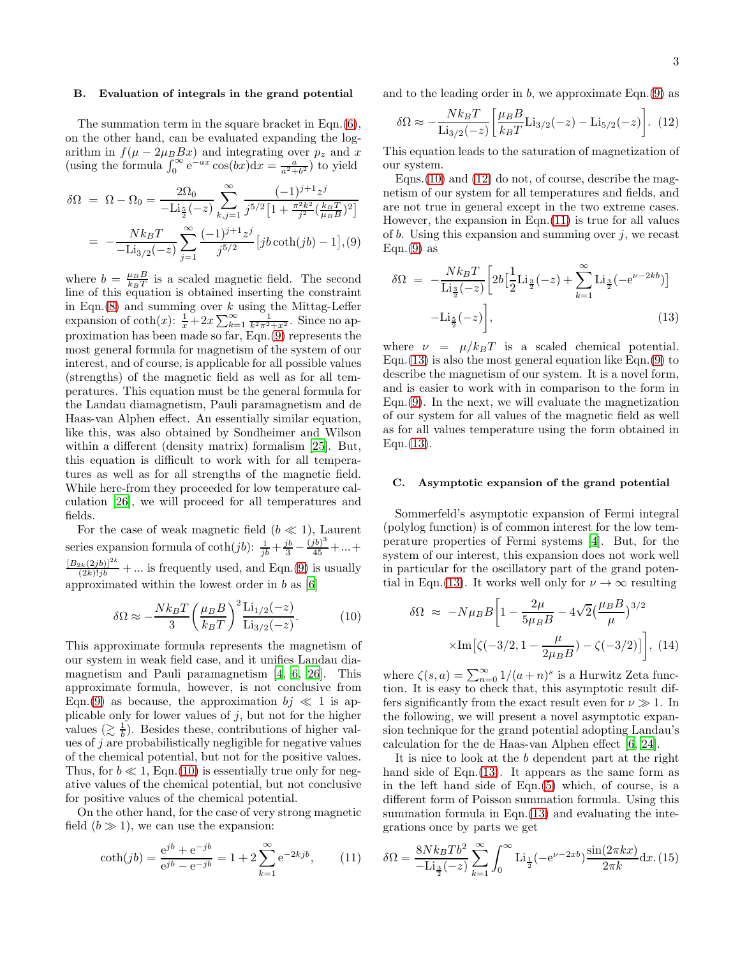## B. Evaluation of integrals in the grand potential

The summation term in the square bracket in Eqn.[\(6\)](#page-1-4), on the other hand, can be evaluated expanding the logarithm in  $f(\mu - 2\mu_B Bx)$  and integrating over  $p_z$  and x (using the formula  $\int_0^\infty e^{-ax} \cos(bx) dx = \frac{a}{a^2+b^2}$ ) to yield

<span id="page-2-0"></span>
$$
\delta\Omega = \Omega - \Omega_0 = \frac{2\Omega_0}{-\text{Li}_{\frac{5}{2}}(-z)} \sum_{k,j=1}^{\infty} \frac{(-1)^{j+1}z^j}{j^{5/2}\left[1 + \frac{\pi^2k^2}{j^2}\left(\frac{k_BT}{\mu_B B}\right)^2\right]}
$$

$$
= -\frac{Nk_BT}{-\text{Li}_{3/2}(-z)} \sum_{j=1}^{\infty} \frac{(-1)^{j+1}z^j}{j^{5/2}} \left[jb\coth(jb) - 1\right], (9)
$$

where  $b = \frac{\mu_B B}{k_B T}$  is a scaled magnetic field. The second line of this equation is obtained inserting the constraint in Eqn. $(8)$  and summing over k using the Mittag-Leffer expansion of  $\coth(x)$ :  $\frac{1}{x} + 2x \sum_{k=1}^{\infty} \frac{1}{k^2 \pi^2 + x^2}$ . Since no approximation has been made so far, Eqn.[\(9\)](#page-2-0) represents the most general formula for magnetism of the system of our interest, and of course, is applicable for all possible values (strengths) of the magnetic field as well as for all temperatures. This equation must be the general formula for the Landau diamagnetism, Pauli paramagnetism and de Haas-van Alphen effect. An essentially similar equation, like this, was also obtained by Sondheimer and Wilson within a different (density matrix) formalism [\[25\]](#page-7-12). But, this equation is difficult to work with for all temperatures as well as for all strengths of the magnetic field. While here-from they proceeded for low temperature calculation [\[26](#page-7-14)], we will proceed for all temperatures and fields.

For the case of weak magnetic field  $(b \ll 1)$ , Laurent series expansion formula of  $\coth(jb)$ :  $\frac{1}{jb} + \frac{jb}{3} - \frac{(jb)^3}{45} + \dots$  $\frac{[B_{2k}(2jb)]^{2k}}{(2k)!jb} + \dots$  is frequently used, and Eqn.[\(9\)](#page-2-0) is usually approximated within the lowest order in  $b$  as  $[6]$ 

<span id="page-2-1"></span>
$$
\delta\Omega \approx -\frac{Nk_B T}{3} \left(\frac{\mu_B B}{k_B T}\right)^2 \frac{\text{Li}_{1/2}(-z)}{\text{Li}_{3/2}(-z)}.
$$
 (10)

This approximate formula represents the magnetism of our system in weak field case, and it unifies Landau diamagnetism and Pauli paramagnetism [\[4,](#page-7-3) [6,](#page-7-9) [26\]](#page-7-14). This approximate formula, however, is not conclusive from Eqn.[\(9\)](#page-2-0) as because, the approximation  $bj \ll 1$  is applicable only for lower values of  $j$ , but not for the higher values  $(\geq \frac{1}{b})$ . Besides these, contributions of higher values of  $j$  are probabilistically negligible for negative values of the chemical potential, but not for the positive values. Thus, for  $b \ll 1$ , Eqn.[\(10\)](#page-2-1) is essentially true only for negative values of the chemical potential, but not conclusive for positive values of the chemical potential.

On the other hand, for the case of very strong magnetic field  $(b \gg 1)$ , we can use the expansion:

<span id="page-2-3"></span>
$$
\coth(jb) = \frac{e^{jb} + e^{-jb}}{e^{jb} - e^{-jb}} = 1 + 2 \sum_{k=1}^{\infty} e^{-2kjb}, \quad (11)
$$

and to the leading order in  $b$ , we approximate Eqn. $(9)$  as

<span id="page-2-2"></span>
$$
\delta\Omega \approx -\frac{Nk_BT}{\text{Li}_{3/2}(-z)} \left[ \frac{\mu_B B}{k_BT} \text{Li}_{3/2}(-z) - \text{Li}_{5/2}(-z) \right]. \tag{12}
$$

This equation leads to the saturation of magnetization of our system.

Eqns.[\(10\)](#page-2-1) and [\(12\)](#page-2-2) do not, of course, describe the magnetism of our system for all temperatures and fields, and are not true in general except in the two extreme cases. However, the expansion in Eqn.[\(11\)](#page-2-3) is true for all values of  $b$ . Using this expansion and summing over  $j$ , we recast  $Eqn.(9)$  $Eqn.(9)$  as

<span id="page-2-4"></span>
$$
\delta\Omega = -\frac{Nk_BT}{\text{Li}_{\frac{3}{2}}(-z)} \bigg[ 2b \big[ \frac{1}{2} \text{Li}_{\frac{3}{2}}(-z) + \sum_{k=1}^{\infty} \text{Li}_{\frac{3}{2}}(-e^{\nu - 2kb}) \big] -\text{Li}_{\frac{5}{2}}(-z) \bigg],
$$
\n(13)

where  $\nu = \mu/k_BT$  is a scaled chemical potential. Eqn.  $(13)$  is also the most general equation like Eqn.  $(9)$  to describe the magnetism of our system. It is a novel form, and is easier to work with in comparison to the form in Eqn. $(9)$ . In the next, we will evaluate the magnetization of our system for all values of the magnetic field as well as for all values temperature using the form obtained in  $\text{Eqn.}(13)$  $\text{Eqn.}(13)$ .

### C. Asymptotic expansion of the grand potential

Sommerfeld's asymptotic expansion of Fermi integral (polylog function) is of common interest for the low temperature properties of Fermi systems [\[4](#page-7-3)]. But, for the system of our interest, this expansion does not work well in particular for the oscillatory part of the grand poten-tial in Eqn.[\(13\)](#page-2-4). It works well only for  $\nu \to \infty$  resulting

$$
\delta\Omega \approx -N\mu_B B \left[ 1 - \frac{2\mu}{5\mu_B B} - 4\sqrt{2} \left( \frac{\mu_B B}{\mu} \right)^{3/2} \times \text{Im} \left[ \zeta (-3/2, 1 - \frac{\mu}{2\mu_B B}) - \zeta (-3/2) \right] \right], (14)
$$

where  $\zeta(s, a) = \sum_{n=0}^{\infty} 1/(a+n)^s$  is a Hurwitz Zeta function. It is easy to check that, this asymptotic result differs significantly from the exact result even for  $\nu \gg 1$ . In the following, we will present a novel asymptotic expansion technique for the grand potential adopting Landau's calculation for the de Haas-van Alphen effect [\[6,](#page-7-9) [24\]](#page-7-11).

It is nice to look at the b dependent part at the right hand side of Eqn.[\(13\)](#page-2-4). It appears as the same form as in the left hand side of Eqn.[\(5\)](#page-1-3) which, of course, is a different form of Poisson summation formula. Using this summation formula in Eqn. [\(13\)](#page-2-4) and evaluating the integrations once by parts we get

<span id="page-2-5"></span>
$$
\delta\Omega = \frac{8Nk_B T b^2}{-\text{Li}_{\frac{3}{2}}(-z)} \sum_{k=1}^{\infty} \int_0^{\infty} \text{Li}_{\frac{1}{2}}(-e^{\nu-2xb}) \frac{\sin(2\pi kx)}{2\pi k} dx. (15)
$$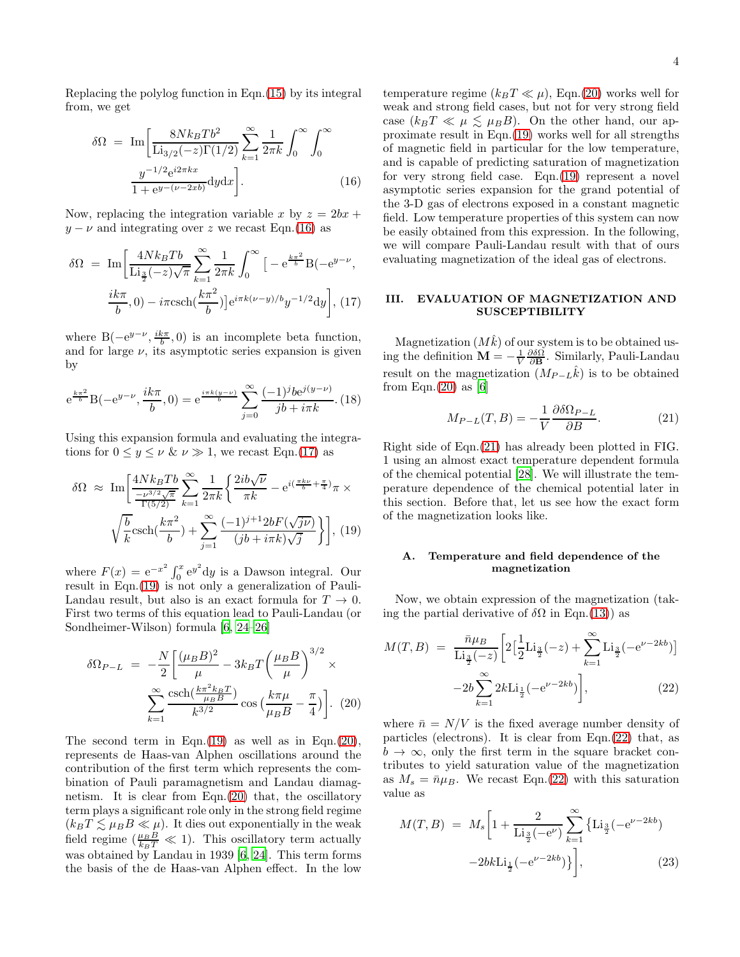Replacing the polylog function in Eqn.[\(15\)](#page-2-5) by its integral from, we get

<span id="page-3-0"></span>
$$
\delta\Omega = \text{Im}\left[\frac{8Nk_B T b^2}{\text{Li}_{3/2}(-z)\Gamma(1/2)}\sum_{k=1}^{\infty}\frac{1}{2\pi k}\int_0^{\infty}\int_0^{\infty}\frac{y^{-1/2}e^{i2\pi kx}}{1+e^{y-(\nu-2xb)}}\,dydx\right].\tag{16}
$$

Now, replacing the integration variable x by  $z = 2bx +$  $y - \nu$  and integrating over z we recast Eqn.[\(16\)](#page-3-0) as

<span id="page-3-1"></span>
$$
\delta\Omega = \text{Im}\left[\frac{4Nk_BTb}{\text{Li}_{\frac{3}{2}}(-z)\sqrt{\pi}}\sum_{k=1}^{\infty}\frac{1}{2\pi k}\int_0^{\infty}\left[-e^{\frac{k\pi^2}{b}}B(-e^{y-\nu},\frac{ik\pi}{b},0) - i\pi \text{csch}(\frac{k\pi^2}{b})\right]e^{i\pi k(\nu-y)/b}y^{-1/2}\text{d}y\right], (17)
$$

where  $B(-e^{y-\nu}, \frac{ik\pi}{b}, 0)$  is an incomplete beta function, and for large  $\nu$ , its asymptotic series expansion is given by

$$
e^{\frac{k\pi^2}{b}}B(-e^{y-\nu}, \frac{ik\pi}{b}, 0) = e^{\frac{i\pi k(y-\nu)}{b}}\sum_{j=0}^{\infty} \frac{(-1)^j b e^{j(y-\nu)}}{jb + i\pi k}.
$$
 (18)

Using this expansion formula and evaluating the integrations for  $0 \le y \le \nu \& \nu \gg 1$ , we recast Eqn.[\(17\)](#page-3-1) as

<span id="page-3-2"></span>
$$
\delta\Omega \approx \operatorname{Im}\left[\frac{4Nk_BTb}{\frac{-\nu^{3/2}\sqrt{\pi}}{\Gamma(5/2)}}\sum_{k=1}^{\infty}\frac{1}{2\pi k}\left\{\frac{2ib\sqrt{\nu}}{\pi k} - e^{i(\frac{\pi k\nu}{b} + \frac{\pi}{4})}\pi \times \sqrt{\frac{b}{k}}\operatorname{csch}\left(\frac{k\pi^2}{b}\right) + \sum_{j=1}^{\infty}\frac{(-1)^{j+1}2bF(\sqrt{j\nu})}{(jb + i\pi k)\sqrt{j}}\right\}\right], (19)
$$

where  $F(x) = e^{-x^2} \int_0^x e^{y^2} dy$  is a Dawson integral. Our result in Eqn.[\(19\)](#page-3-2) is not only a generalization of Pauli-Landau result, but also is an exact formula for  $T \to 0$ . First two terms of this equation lead to Pauli-Landau (or Sondheimer-Wilson) formula [\[6,](#page-7-9) [24](#page-7-11)[–26](#page-7-14)]

<span id="page-3-3"></span>
$$
\delta\Omega_{P-L} = -\frac{N}{2} \left[ \frac{(\mu_B B)^2}{\mu} - 3k_B T \left( \frac{\mu_B B}{\mu} \right)^{3/2} \times \right.
$$

$$
\sum_{k=1}^{\infty} \frac{\operatorname{csch}\left(\frac{k\pi^2 k_B T}{\mu_B B}\right)}{k^{3/2}} \cos\left(\frac{k\pi\mu}{\mu_B B} - \frac{\pi}{4}\right).
$$
 (20)

The second term in Eqn.[\(19\)](#page-3-2) as well as in Eqn.[\(20\)](#page-3-3), represents de Haas-van Alphen oscillations around the contribution of the first term which represents the combination of Pauli paramagnetism and Landau diamagnetism. It is clear from Eqn.[\(20\)](#page-3-3) that, the oscillatory term plays a significant role only in the strong field regime  $(k_BT \lesssim \mu_B B \ll \mu$ . It dies out exponentially in the weak field regime  $(\frac{\mu_B B}{k_B T} \ll 1)$ . This oscillatory term actually was obtained by Landau in 1939 [\[6,](#page-7-9) [24\]](#page-7-11). This term forms the basis of the de Haas-van Alphen effect. In the low

temperature regime  $(k_BT \ll \mu)$ , Eqn.[\(20\)](#page-3-3) works well for weak and strong field cases, but not for very strong field case  $(k_BT \ll \mu \lesssim \mu_B B)$ . On the other hand, our approximate result in Eqn.[\(19\)](#page-3-2) works well for all strengths of magnetic field in particular for the low temperature, and is capable of predicting saturation of magnetization for very strong field case. Eqn.[\(19\)](#page-3-2) represent a novel asymptotic series expansion for the grand potential of the 3-D gas of electrons exposed in a constant magnetic field. Low temperature properties of this system can now be easily obtained from this expression. In the following, we will compare Pauli-Landau result with that of ours evaluating magnetization of the ideal gas of electrons.

# III. EVALUATION OF MAGNETIZATION AND SUSCEPTIBILITY

Magnetization  $(M\hat{k})$  of our system is to be obtained using the definition  $\mathbf{M} = -\frac{1}{V} \frac{\partial \delta \Omega}{\partial \mathbf{B}}$ . Similarly, Pauli-Landau result on the magnetization  $(M_{P-L}\hat{k})$  is to be obtained from Eqn. $(20)$  as [\[6\]](#page-7-9)

<span id="page-3-4"></span>
$$
M_{P-L}(T,B) = -\frac{1}{V} \frac{\partial \delta \Omega_{P-L}}{\partial B}.
$$
 (21)

Right side of Eqn.[\(21\)](#page-3-4) has already been plotted in FIG. 1 using an almost exact temperature dependent formula of the chemical potential [\[28](#page-7-15)]. We will illustrate the temperature dependence of the chemical potential later in this section. Before that, let us see how the exact form of the magnetization looks like.

# A. Temperature and field dependence of the magnetization

Now, we obtain expression of the magnetization (taking the partial derivative of  $\delta\Omega$  in Eqn.[\(13\)](#page-2-4)) as

<span id="page-3-5"></span>
$$
M(T, B) = \frac{\bar{n}\mu_B}{\text{Li}_{\frac{3}{2}}(-z)} \left[ 2\left[\frac{1}{2}\text{Li}_{\frac{3}{2}}(-z) + \sum_{k=1}^{\infty} \text{Li}_{\frac{3}{2}}(-e^{\nu - 2kb})\right] -2b\sum_{k=1}^{\infty} 2k\text{Li}_{\frac{1}{2}}(-e^{\nu - 2kb})\right],
$$
 (22)

where  $\bar{n} = N/V$  is the fixed average number density of particles (electrons). It is clear from Eqn.[\(22\)](#page-3-5) that, as  $b \to \infty$ , only the first term in the square bracket contributes to yield saturation value of the magnetization as  $M_s = \bar{n}\mu_B$ . We recast Eqn.[\(22\)](#page-3-5) with this saturation value as

<span id="page-3-6"></span>
$$
M(T, B) = M_s \left[ 1 + \frac{2}{\text{Li}_{\frac{3}{2}}(-e^{\nu})} \sum_{k=1}^{\infty} \left\{ \text{Li}_{\frac{3}{2}}(-e^{\nu - 2kb}) -2bk \text{Li}_{\frac{1}{2}}(-e^{\nu - 2kb}) \right\} \right],
$$
 (23)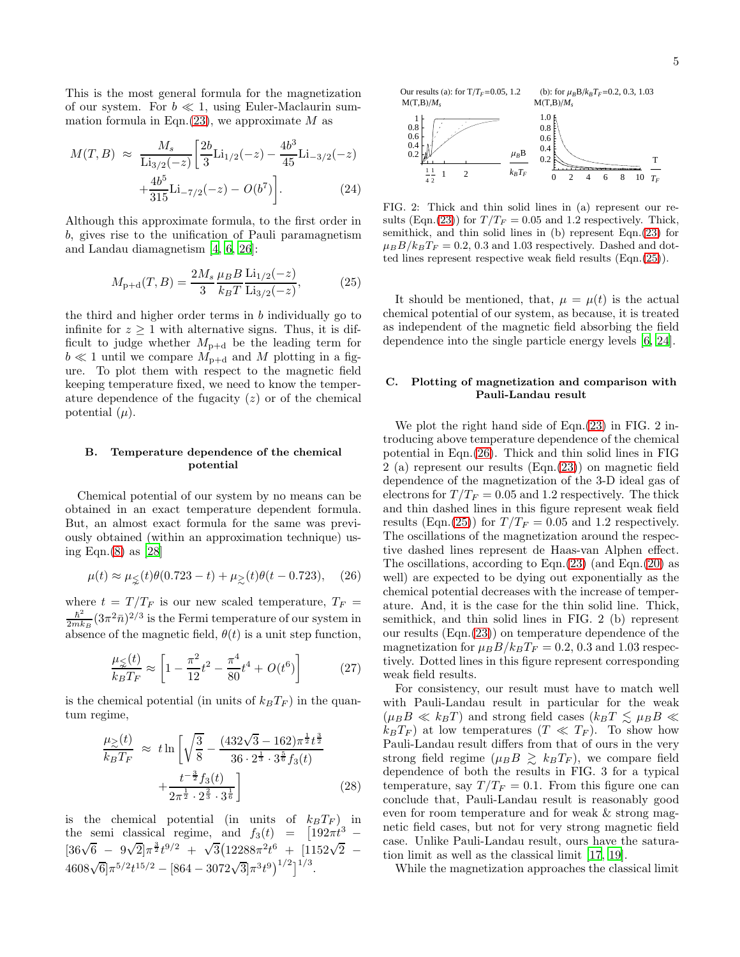This is the most general formula for the magnetization of our system. For  $b \ll 1$ , using Euler-Maclaurin summation formula in Eqn.  $(23)$ , we approximate M as

$$
M(T, B) \approx \frac{M_s}{\text{Li}_{3/2}(-z)} \left[ \frac{2b}{3} \text{Li}_{1/2}(-z) - \frac{4b^3}{45} \text{Li}_{-3/2}(-z) + \frac{4b^5}{315} \text{Li}_{-7/2}(-z) - O(b^7) \right].
$$
 (24)

Although this approximate formula, to the first order in b, gives rise to the unification of Pauli paramagnetism and Landau diamagnetism [\[4,](#page-7-3) [6,](#page-7-9) [26](#page-7-14)]:

<span id="page-4-0"></span>
$$
M_{\rm p+d}(T,B) = \frac{2M_s}{3} \frac{\mu_B B}{k_B T} \frac{\text{Li}_{1/2}(-z)}{\text{Li}_{3/2}(-z)},\tag{25}
$$

the third and higher order terms in b individually go to infinite for  $z \geq 1$  with alternative signs. Thus, it is difficult to judge whether  $M_{\text{p+d}}$  be the leading term for  $b \ll 1$  until we compare  $M_{\rm p+d}$  and M plotting in a figure. To plot them with respect to the magnetic field keeping temperature fixed, we need to know the temperature dependence of the fugacity  $(z)$  or of the chemical potential  $(\mu)$ .

## B. Temperature dependence of the chemical potential

Chemical potential of our system by no means can be obtained in an exact temperature dependent formula. But, an almost exact formula for the same was previously obtained (within an approximation technique) using Eqn.[\(8\)](#page-1-5) as [\[28\]](#page-7-15)

<span id="page-4-1"></span>
$$
\mu(t) \approx \mu_{\lesssim}(t)\theta(0.723 - t) + \mu_{\gtrsim}(t)\theta(t - 0.723), \quad (26)
$$

where  $t = T/T_F$  is our new scaled temperature,  $T_F =$  $\hbar^2$  $\frac{\hbar^2}{2mk_B}(3\pi^2\bar{n})^{2/3}$  is the Fermi temperature of our system in absence of the magnetic field,  $\theta(t)$  is a unit step function.

$$
\frac{\mu_{\lesssim}(t)}{k_B T_F} \approx \left[1 - \frac{\pi^2}{12} t^2 - \frac{\pi^4}{80} t^4 + O(t^6)\right]
$$
 (27)

is the chemical potential (in units of  $k_BT_F$ ) in the quantum regime,

$$
\frac{\mu_{\ge}(t)}{k_B T_F} \approx t \ln \left[ \sqrt{\frac{3}{8}} - \frac{(432\sqrt{3} - 162)\pi^{\frac{1}{2}} t^{\frac{3}{2}}}{36 \cdot 2^{\frac{1}{3}} \cdot 3^{\frac{5}{6}} f_3(t)} + \frac{t^{-\frac{3}{2}} f_3(t)}{2\pi^{\frac{1}{2}} \cdot 2^{\frac{2}{3}} \cdot 3^{\frac{1}{6}}} \right]
$$
(28)

is the chemical potential (in units of  $k_B T_F$ ) in the semi classical regime, and  $f_3(t) = [192\pi t^3 [36\sqrt{6} - 9\sqrt{2}]\pi^{\frac{3}{2}}t^{9/2} + \sqrt{3}(12288\pi^2t^6 + [1152\sqrt{2} 4608\sqrt{6}$ ] $\pi^{5/2}t^{15/2} - [864 - 3072\sqrt{3}] \pi^3 t^9 \big)^{1/2}$ ]<sup>1/3</sup>.



FIG. 2: Thick and thin solid lines in (a) represent our re-sults (Eqn.[\(23\)](#page-3-6)) for  $T/T_F = 0.05$  and 1.2 respectively. Thick, semithick, and thin solid lines in (b) represent Eqn.[\(23\)](#page-3-6) for  $\mu_B B/k_B T_F = 0.2, 0.3$  and 1.03 respectively. Dashed and dotted lines represent respective weak field results (Eqn.[\(25\)](#page-4-0)).

It should be mentioned, that,  $\mu = \mu(t)$  is the actual chemical potential of our system, as because, it is treated as independent of the magnetic field absorbing the field dependence into the single particle energy levels [\[6,](#page-7-9) [24\]](#page-7-11).

# C. Plotting of magnetization and comparison with Pauli-Landau result

We plot the right hand side of Eqn.[\(23\)](#page-3-6) in FIG. 2 introducing above temperature dependence of the chemical potential in Eqn.[\(26\)](#page-4-1). Thick and thin solid lines in FIG 2 (a) represent our results (Eqn.[\(23\)](#page-3-6)) on magnetic field dependence of the magnetization of the 3-D ideal gas of electrons for  $T/T_F = 0.05$  and 1.2 respectively. The thick and thin dashed lines in this figure represent weak field results (Eqn.[\(25\)](#page-4-0)) for  $T/T_F = 0.05$  and 1.2 respectively. The oscillations of the magnetization around the respective dashed lines represent de Haas-van Alphen effect. The oscillations, according to Eqn.[\(23\)](#page-3-6) (and Eqn.[\(20\)](#page-3-3) as well) are expected to be dying out exponentially as the chemical potential decreases with the increase of temperature. And, it is the case for the thin solid line. Thick, semithick, and thin solid lines in FIG. 2 (b) represent our results (Eqn.[\(23\)](#page-3-6)) on temperature dependence of the magnetization for  $\mu_B B/k_B T_F = 0.2, 0.3$  and 1.03 respectively. Dotted lines in this figure represent corresponding weak field results.

For consistency, our result must have to match well with Pauli-Landau result in particular for the weak  $(\mu_B B \ll k_B T)$  and strong field cases  $(k_B T \lesssim \mu_B B \ll$  $k_BT_F$ ) at low temperatures  $(T \ll T_F)$ . To show how Pauli-Landau result differs from that of ours in the very strong field regime  $(\mu_B B \geq k_B T_F)$ , we compare field dependence of both the results in FIG. 3 for a typical temperature, say  $T/T_F = 0.1$ . From this figure one can conclude that, Pauli-Landau result is reasonably good even for room temperature and for weak & strong magnetic field cases, but not for very strong magnetic field case. Unlike Pauli-Landau result, ours have the saturation limit as well as the classical limit [\[17,](#page-7-16) [19\]](#page-7-17).

While the magnetization approaches the classical limit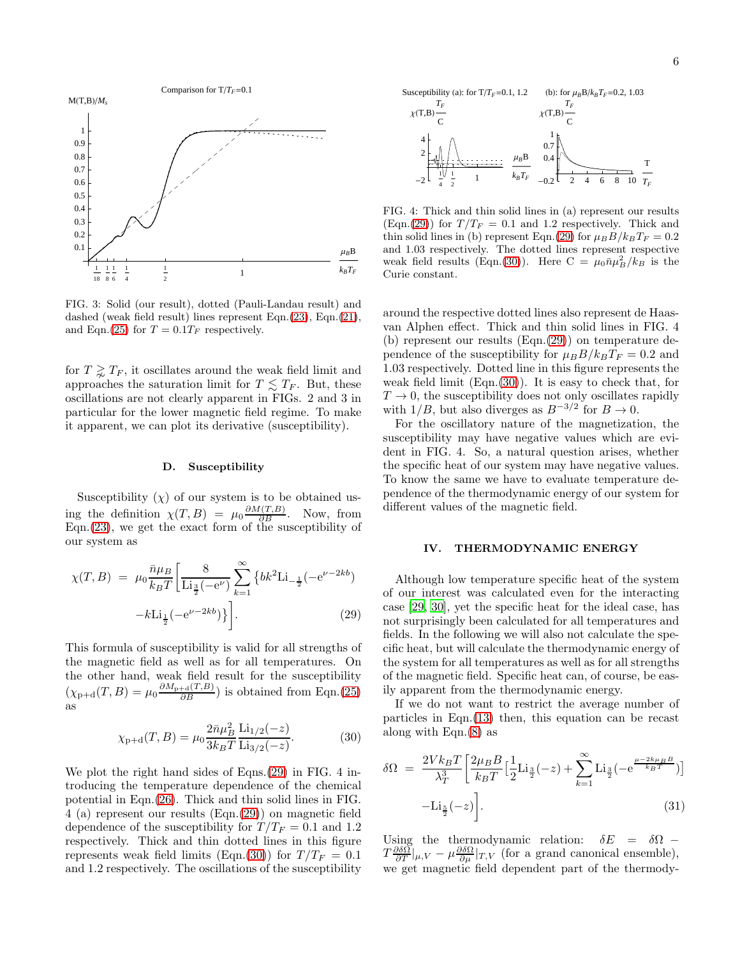

FIG. 3: Solid (our result), dotted (Pauli-Landau result) and dashed (weak field result) lines represent Eqn.[\(23\)](#page-3-6), Eqn.[\(21\)](#page-3-4), and Eqn.[\(25\)](#page-4-0) for  $T = 0.1T_F$  respectively.

for  $T \gtrsim T_F$ , it oscillates around the weak field limit and approaches the saturation limit for  $T \lesssim T_F$ . But, these oscillations are not clearly apparent in FIGs. 2 and 3 in particular for the lower magnetic field regime. To make it apparent, we can plot its derivative (susceptibility).

# D. Susceptibility

Susceptibility  $(\chi)$  of our system is to be obtained using the definition  $\chi(T, B) = \mu_0 \frac{\partial M(T, B)}{\partial B}$ . Now, from Eqn.[\(23\)](#page-3-6), we get the exact form of the susceptibility of our system as

<span id="page-5-0"></span>
$$
\chi(T, B) = \mu_0 \frac{\bar{n}\mu}{k_B T} \left[ \frac{8}{\text{Li}_{\frac{3}{2}}(-e^{\nu})} \sum_{k=1}^{\infty} \left\{ bk^2 \text{Li}_{-\frac{1}{2}}(-e^{\nu - 2kb}) - k \text{Li}_{\frac{1}{2}}(-e^{\nu - 2kb}) \right\} \right].
$$
\n(29)

This formula of susceptibility is valid for all strengths of the magnetic field as well as for all temperatures. On the other hand, weak field result for the susceptibility  $(\chi_{p+d}(T, B) = \mu_0 \frac{\partial M_{p+d}(T, B)}{\partial B})$  is obtained from Eqn.[\(25\)](#page-4-0) as

<span id="page-5-1"></span>
$$
\chi_{p+d}(T,B) = \mu_0 \frac{2\bar{n}\mu_B^2}{3k_B T} \frac{\text{Li}_{1/2}(-z)}{\text{Li}_{3/2}(-z)}.
$$
 (30)

We plot the right hand sides of Eqns.[\(29\)](#page-5-0) in FIG. 4 introducing the temperature dependence of the chemical potential in Eqn.[\(26\)](#page-4-1). Thick and thin solid lines in FIG. 4 (a) represent our results (Eqn.[\(29\)](#page-5-0)) on magnetic field dependence of the susceptibility for  $T/T_F = 0.1$  and 1.2 respectively. Thick and thin dotted lines in this figure represents weak field limits (Eqn.[\(30\)](#page-5-1)) for  $T/T_F = 0.1$ and 1.2 respectively. The oscillations of the susceptibility



FIG. 4: Thick and thin solid lines in (a) represent our results  $(\text{Eqn.}(29))$  $(\text{Eqn.}(29))$  $(\text{Eqn.}(29))$  for  $T/T_F = 0.1$  and 1.2 respectively. Thick and thin solid lines in (b) represent Eqn.[\(29\)](#page-5-0) for  $\mu_B B/k_B T_F = 0.2$ and 1.03 respectively. The dotted lines represent respective weak field results (Eqn.[\(30\)](#page-5-1)). Here  $C = \mu_0 \bar{n} \mu_B^2 / k_B$  is the Curie constant.

around the respective dotted lines also represent de Haasvan Alphen effect. Thick and thin solid lines in FIG. 4 (b) represent our results (Eqn.[\(29\)](#page-5-0)) on temperature dependence of the susceptibility for  $\mu_B B/k_B T_F = 0.2$  and 1.03 respectively. Dotted line in this figure represents the weak field limit  $(Eqn. (30))$  $(Eqn. (30))$  $(Eqn. (30))$ . It is easy to check that, for  $T \rightarrow 0$ , the susceptibility does not only oscillates rapidly with 1/B, but also diverges as  $B^{-3/2}$  for  $B \to 0$ .

For the oscillatory nature of the magnetization, the susceptibility may have negative values which are evident in FIG. 4. So, a natural question arises, whether the specific heat of our system may have negative values. To know the same we have to evaluate temperature dependence of the thermodynamic energy of our system for different values of the magnetic field.

### IV. THERMODYNAMIC ENERGY

Although low temperature specific heat of the system of our interest was calculated even for the interacting case [\[29,](#page-7-18) [30](#page-7-19)], yet the specific heat for the ideal case, has not surprisingly been calculated for all temperatures and fields. In the following we will also not calculate the specific heat, but will calculate the thermodynamic energy of the system for all temperatures as well as for all strengths of the magnetic field. Specific heat can, of course, be easily apparent from the thermodynamic energy.

If we do not want to restrict the average number of particles in Eqn.[\(13\)](#page-2-4) then, this equation can be recast along with Eqn.[\(8\)](#page-1-5) as

$$
\delta\Omega = \frac{2Vk_BT}{\lambda_T^3} \left[ \frac{2\mu_B B}{k_BT} \left[ \frac{1}{2} \text{Li}_{\frac{3}{2}}(-z) + \sum_{k=1}^{\infty} \text{Li}_{\frac{3}{2}}(-e^{\frac{\mu - 2k\mu_B B}{k_BT}}) \right] - \text{Li}_{\frac{5}{2}}(-z) \right].
$$
\n(31)

Using the thermodynamic relation:  $\delta E = \delta \Omega - \frac{1}{2}$  $T \frac{\partial \delta \Omega}{\partial T}|_{\mu, V} - \mu \frac{\partial \delta \Omega}{\partial \mu}|_{T, V}$  (for a grand canonical ensemble), we get magnetic field dependent part of the thermody-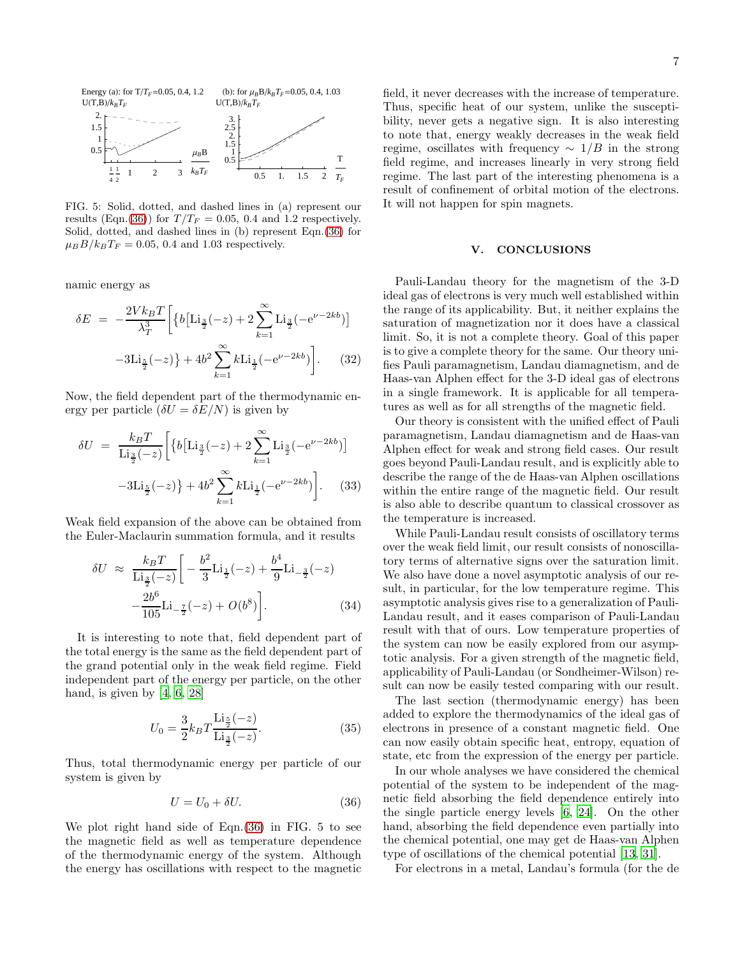

FIG. 5: Solid, dotted, and dashed lines in (a) represent our results (Eqn.[\(36\)](#page-6-0)) for  $T/T_F = 0.05$ , 0.4 and 1.2 respectively. Solid, dotted, and dashed lines in (b) represent Eqn.[\(36\)](#page-6-0) for  $\mu_B B/k_B T_F = 0.05, 0.4$  and 1.03 respectively.

namic energy as

$$
\delta E = -\frac{2Vk_BT}{\lambda_T^3} \bigg[ \{ b \big[ \text{Li}_{\frac{3}{2}}(-z) + 2 \sum_{k=1}^{\infty} \text{Li}_{\frac{3}{2}}(-e^{\nu - 2kb}) \big] -3 \text{Li}_{\frac{5}{2}}(-z) \} + 4b^2 \sum_{k=1}^{\infty} k \text{Li}_{\frac{1}{2}}(-e^{\nu - 2kb}) \bigg]. \tag{32}
$$

Now, the field dependent part of the thermodynamic energy per particle  $(\delta U = \delta E/N)$  is given by

$$
\delta U = \frac{k_B T}{\text{Li}_{\frac{3}{2}}(-z)} \bigg[ \{ b \big[ \text{Li}_{\frac{3}{2}}(-z) + 2 \sum_{k=1}^{\infty} \text{Li}_{\frac{3}{2}}(-e^{\nu - 2kb}) \big] -3 \text{Li}_{\frac{5}{2}}(-z) \} + 4b^2 \sum_{k=1}^{\infty} k \text{Li}_{\frac{1}{2}}(-e^{\nu - 2kb}) \bigg]. \tag{33}
$$

Weak field expansion of the above can be obtained from the Euler-Maclaurin summation formula, and it results

$$
\delta U \approx \frac{k_B T}{\text{Li}_{\frac{3}{2}}(-z)} \bigg[ -\frac{b^2}{3} \text{Li}_{\frac{1}{2}}(-z) + \frac{b^4}{9} \text{Li}_{-\frac{3}{2}}(-z) -\frac{2b^6}{105} \text{Li}_{-\frac{7}{2}}(-z) + O(b^8) \bigg]. \tag{34}
$$

It is interesting to note that, field dependent part of the total energy is the same as the field dependent part of the grand potential only in the weak field regime. Field independent part of the energy per particle, on the other hand, is given by  $[4, 6, 28]$  $[4, 6, 28]$  $[4, 6, 28]$  $[4, 6, 28]$ 

$$
U_0 = \frac{3}{2} k_B T \frac{\text{Li}_{\frac{5}{2}}(-z)}{\text{Li}_{\frac{3}{2}}(-z)}.
$$
 (35)

Thus, total thermodynamic energy per particle of our system is given by

<span id="page-6-0"></span>
$$
U = U_0 + \delta U. \tag{36}
$$

We plot right hand side of Eqn.[\(36\)](#page-6-0) in FIG. 5 to see the magnetic field as well as temperature dependence of the thermodynamic energy of the system. Although the energy has oscillations with respect to the magnetic

field, it never decreases with the increase of temperature. Thus, specific heat of our system, unlike the susceptibility, never gets a negative sign. It is also interesting to note that, energy weakly decreases in the weak field regime, oscillates with frequency  $\sim 1/B$  in the strong field regime, and increases linearly in very strong field regime. The last part of the interesting phenomena is a result of confinement of orbital motion of the electrons. It will not happen for spin magnets.

### V. CONCLUSIONS

Pauli-Landau theory for the magnetism of the 3-D ideal gas of electrons is very much well established within the range of its applicability. But, it neither explains the saturation of magnetization nor it does have a classical limit. So, it is not a complete theory. Goal of this paper is to give a complete theory for the same. Our theory unifies Pauli paramagnetism, Landau diamagnetism, and de Haas-van Alphen effect for the 3-D ideal gas of electrons in a single framework. It is applicable for all temperatures as well as for all strengths of the magnetic field.

Our theory is consistent with the unified effect of Pauli paramagnetism, Landau diamagnetism and de Haas-van Alphen effect for weak and strong field cases. Our result goes beyond Pauli-Landau result, and is explicitly able to describe the range of the de Haas-van Alphen oscillations within the entire range of the magnetic field. Our result is also able to describe quantum to classical crossover as the temperature is increased.

While Pauli-Landau result consists of oscillatory terms over the weak field limit, our result consists of nonoscillatory terms of alternative signs over the saturation limit. We also have done a novel asymptotic analysis of our result, in particular, for the low temperature regime. This asymptotic analysis gives rise to a generalization of Pauli-Landau result, and it eases comparison of Pauli-Landau result with that of ours. Low temperature properties of the system can now be easily explored from our asymptotic analysis. For a given strength of the magnetic field, applicability of Pauli-Landau (or Sondheimer-Wilson) result can now be easily tested comparing with our result.

The last section (thermodynamic energy) has been added to explore the thermodynamics of the ideal gas of electrons in presence of a constant magnetic field. One can now easily obtain specific heat, entropy, equation of state, etc from the expression of the energy per particle.

In our whole analyses we have considered the chemical potential of the system to be independent of the magnetic field absorbing the field dependence entirely into the single particle energy levels [\[6](#page-7-9), [24\]](#page-7-11). On the other hand, absorbing the field dependence even partially into the chemical potential, one may get de Haas-van Alphen type of oscillations of the chemical potential [\[13,](#page-7-20) [31\]](#page-7-21).

For electrons in a metal, Landau's formula (for the de